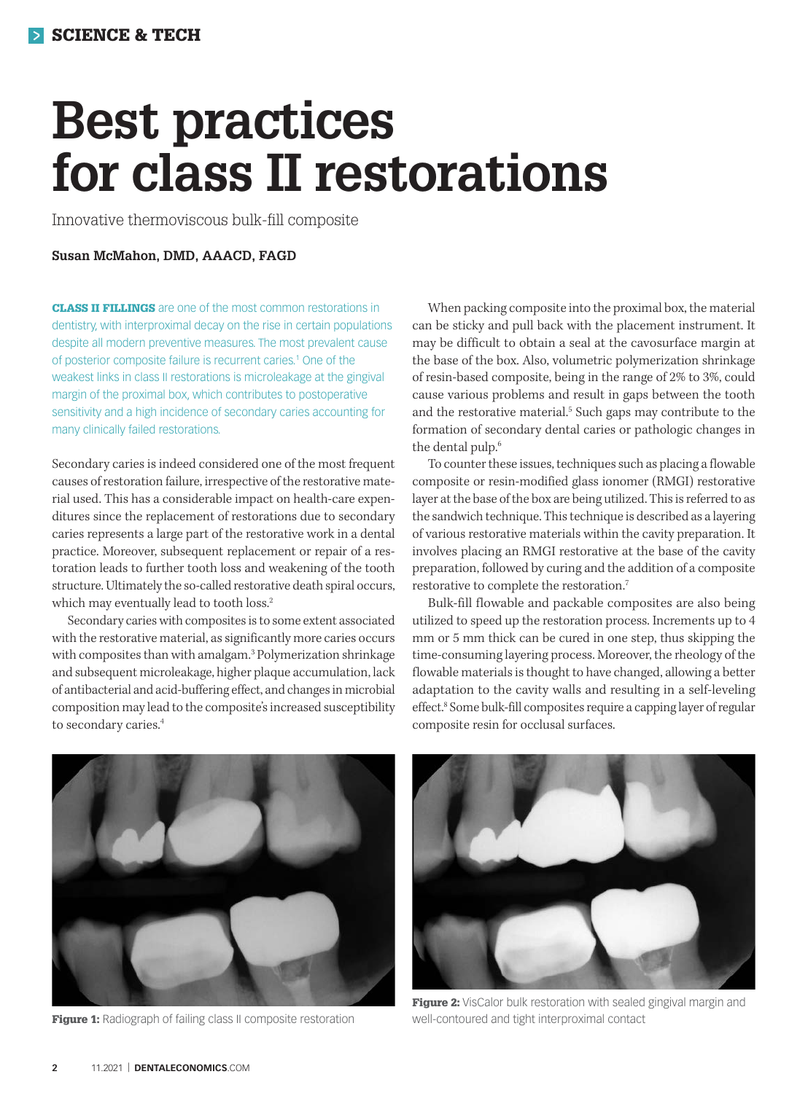# **Best practices for class II restorations**

Innovative thermoviscous bulk-fill composite

## **Susan McMahon, DMD, AAACD, FAGD**

CLASS II FILLINGS are one of the most common restorations in dentistry, with interproximal decay on the rise in certain populations despite all modern preventive measures. The most prevalent cause of posterior composite failure is recurrent caries.1 One of the weakest links in class II restorations is microleakage at the gingival margin of the proximal box, which contributes to postoperative sensitivity and a high incidence of secondary caries accounting for many clinically failed restorations.

Secondary caries is indeed considered one of the most frequent causes of restoration failure, irrespective of the restorative material used. This has a considerable impact on health-care expenditures since the replacement of restorations due to secondary caries represents a large part of the restorative work in a dental practice. Moreover, subsequent replacement or repair of a restoration leads to further tooth loss and weakening of the tooth structure. Ultimately the so-called restorative death spiral occurs, which may eventually lead to tooth loss.<sup>2</sup>

Secondary caries with composites is to some extent associated with the restorative material, as significantly more caries occurs with composites than with amalgam.3 Polymerization shrinkage and subsequent microleakage, higher plaque accumulation, lack of antibacterial and acid-buffering effect, and changes in microbial composition may lead to the composite's increased susceptibility to secondary caries.4

When packing composite into the proximal box, the material can be sticky and pull back with the placement instrument. It may be difficult to obtain a seal at the cavosurface margin at the base of the box. Also, volumetric polymerization shrinkage of resin-based composite, being in the range of 2% to 3%, could cause various problems and result in gaps between the tooth and the restorative material.<sup>5</sup> Such gaps may contribute to the formation of secondary dental caries or pathologic changes in the dental pulp.6

To counter these issues, techniques such as placing a flowable composite or resin-modified glass ionomer (RMGI) restorative layer at the base of the box are being utilized. This is referred to as the sandwich technique. This technique is described as a layering of various restorative materials within the cavity preparation. It involves placing an RMGI restorative at the base of the cavity preparation, followed by curing and the addition of a composite restorative to complete the restoration.7

Bulk-fill flowable and packable composites are also being utilized to speed up the restoration process. Increments up to 4 mm or 5 mm thick can be cured in one step, thus skipping the time-consuming layering process. Moreover, the rheology of the flowable materials is thought to have changed, allowing a better adaptation to the cavity walls and resulting in a self-leveling effect.8 Some bulk-fill composites require a capping layer of regular composite resin for occlusal surfaces.



Figure 1: Radiograph of failing class II composite restoration



Figure 2: VisCalor bulk restoration with sealed gingival margin and well-contoured and tight interproximal contact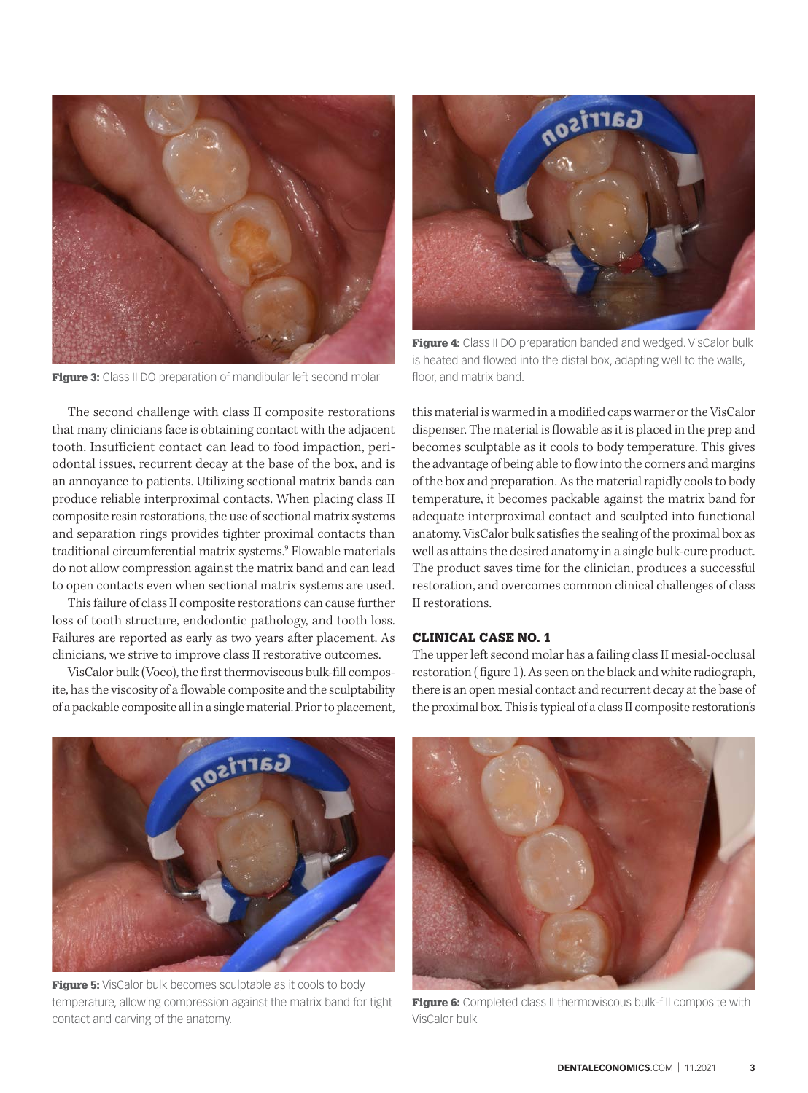

Figure 3: Class II DO preparation of mandibular left second molar

The second challenge with class II composite restorations that many clinicians face is obtaining contact with the adjacent tooth. Insufficient contact can lead to food impaction, periodontal issues, recurrent decay at the base of the box, and is an annoyance to patients. Utilizing sectional matrix bands can produce reliable interproximal contacts. When placing class II composite resin restorations, the use of sectional matrix systems and separation rings provides tighter proximal contacts than traditional circumferential matrix systems.9 Flowable materials do not allow compression against the matrix band and can lead to open contacts even when sectional matrix systems are used.

This failure of class II composite restorations can cause further loss of tooth structure, endodontic pathology, and tooth loss. Failures are reported as early as two years after placement. As clinicians, we strive to improve class II restorative outcomes.

VisCalor bulk (Voco), the first thermoviscous bulk-fill composite, has the viscosity of a flowable composite and the sculptability of a packable composite all in a single material. Prior to placement,



**Figure 4:** Class II DO preparation banded and wedged. VisCalor bulk is heated and flowed into the distal box, adapting well to the walls, floor, and matrix band.

this material is warmed in a modified caps warmer or the VisCalor dispenser. The material is flowable as it is placed in the prep and becomes sculptable as it cools to body temperature. This gives the advantage of being able to flow into the corners and margins of the box and preparation. As the material rapidly cools to body temperature, it becomes packable against the matrix band for adequate interproximal contact and sculpted into functional anatomy. VisCalor bulk satisfies the sealing of the proximal box as well as attains the desired anatomy in a single bulk-cure product. The product saves time for the clinician, produces a successful restoration, and overcomes common clinical challenges of class II restorations.

## CLINICAL CASE NO. 1

The upper left second molar has a failing class II mesial-occlusal restoration ( figure 1). As seen on the black and white radiograph, there is an open mesial contact and recurrent decay at the base of the proximal box. This is typical of a class II composite restoration's



Figure 5: VisCalor bulk becomes sculptable as it cools to body temperature, allowing compression against the matrix band for tight contact and carving of the anatomy.



Figure 6: Completed class II thermoviscous bulk-fill composite with VisCalor bulk